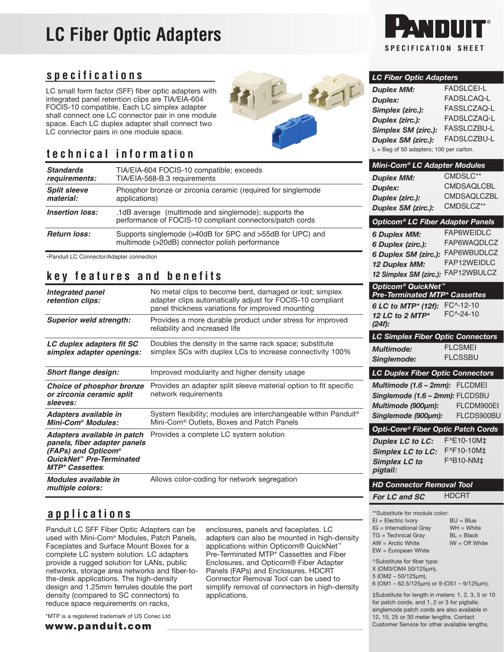# **LC Fiber Optic Adapters**

#### **specifications**

LC small form factor (SFF) fiber optic adapters with integrated panel retention clips are TIA/EIA-604 FOCIS-10 compatible. Each LC simplex adapter shall connect one LC connector pair in one module space. Each LC duplex adapter shall connect two LC connector pairs in one module space.



## **technical information**

| <b>Standards</b><br>requirements: | TIA/EIA-604 FOCIS-10 compatible; exceeds<br>TIA/EIA-568-B.3 requirements |                                          | Mini-Com® LC Adapter Module |                 |  |
|-----------------------------------|--------------------------------------------------------------------------|------------------------------------------|-----------------------------|-----------------|--|
|                                   |                                                                          | <b>Duplex MM:</b>                        |                             | CMDSLC**        |  |
| <b>Split sleeve</b>               | Phosphor bronze or zirconia ceramic (required for singlemode             | <b>Duplex:</b>                           |                             | <b>CMDSAQL</b>  |  |
| material:                         | applications)                                                            | Duplex (zirc.):                          |                             | <b>CMDSAQL</b>  |  |
| <b>Insertion loss:</b>            | .1dB average (multimode and singlemode); supports the                    | Duplex SM (zirc.):                       |                             | <b>CMDSLCZ</b>  |  |
|                                   | performance of FOCIS-10 compliant connectors/patch cords                 | Opticom <sup>®</sup> LC Fiber Adapter Pa |                             |                 |  |
| <b>Return loss:</b>               | Supports singlemode (>40dB for SPC and >55dB for UPC) and                | <b>6 Duplex MM:</b>                      |                             | <b>FAP6WEID</b> |  |
|                                   | multimode (>20dB) connector polish performance                           | 6 Duplex (zirc.):                        |                             | FAP6WAQI        |  |

•Panduit LC Connector/Adapter connection

#### **key features and benefits**

| Integrated panel<br>retention clips:                                                                                                     | No metal clips to become bent, damaged or lost; simplex<br>adapter clips automatically adjust for FOCIS-10 compliant<br>panel thickness variations for improved mounting |
|------------------------------------------------------------------------------------------------------------------------------------------|--------------------------------------------------------------------------------------------------------------------------------------------------------------------------|
| <b>Superior weld strength:</b>                                                                                                           | Provides a more durable product under stress for improved<br>reliability and increased life                                                                              |
| LC duplex adapters fit SC<br>simplex adapter openings:                                                                                   | Doubles the density in the same rack space; substitute<br>simplex SCs with duplex LCs to increase connectivity 100%                                                      |
| <b>Short flange design:</b>                                                                                                              | Improved modularity and higher density usage                                                                                                                             |
| Choice of phosphor bronze<br>or zirconia ceramic split<br>sleeves:                                                                       | Provides an adapter split sleeve material option to fit specific<br>network requirements                                                                                 |
| Adapters available in<br><b>Mini-Com® Modules:</b>                                                                                       | System flexibility; modules are interchangeable within Panduit <sup>®</sup><br>Mini-Com <sup>®</sup> Outlets, Boxes and Patch Panels                                     |
| Adapters available in patch<br>panels, fiber adapter panels<br>(FAPs) and Opticom®<br>QuickNet™ Pre-Terminated<br><b>MTP* Cassettes:</b> | Provides a complete LC system solution                                                                                                                                   |
| Modules available in<br>multiple colors:                                                                                                 | Allows color-coding for network segregation                                                                                                                              |

### **applications**

Panduit LC SFF Fiber Optic Adapters can be used with Mini-Com® Modules, Patch Panels, Faceplates and Surface Mount Boxes for a complete LC system solution. LC adapters provide a rugged solution for LANs, public networks, storage area networks and fiber-tothe-desk applications. The high-density design and 1.25mm ferrules double the port density (compared to SC connectors) to reduce space requirements on racks,

enclosures, panels and faceplates. LC adapters can also be mounted in high-density applications within Opticom® QuickNet™ Pre-Terminated MTP\* Cassettes and Fiber Enclosures, and Opticom® Fiber Adapter Panels (FAPs) and Enclosures. HDCRT Connector Removal Tool can be used to simplify removal of connectors in high-density applications.



#### *LC Fiber Optic Adapters*

| <b>Duplex MM:</b>                         | <b>FADSLCEI-L</b> |  |  |
|-------------------------------------------|-------------------|--|--|
| <b>Duplex:</b>                            | FADSLCAQ-L        |  |  |
| Simplex (zirc.):                          | FASSLCZAQ-L       |  |  |
| Duplex (zirc.):                           | FADSLCZAQ-L       |  |  |
| Simplex SM (zirc.):                       | FASSLCZBU-L       |  |  |
| <b>Duplex SM (zirc.):</b>                 | FADSLCZBU-L       |  |  |
| $L =$ Bag of 50 adapters; 100 per carton. |                   |  |  |
|                                           |                   |  |  |

| www-oom                                                                                            | nei mouure         |
|----------------------------------------------------------------------------------------------------|--------------------|
| <b>Duplex MM:</b>                                                                                  | CMDSLC**           |
| <b>Duplex:</b>                                                                                     | <b>CMDSAQLCBL</b>  |
| Duplex (zirc.):                                                                                    | <b>CMDSAQLCZBL</b> |
| Duplex SM (zirc.):                                                                                 | CMDSLCZ**          |
| Opticom® LC Fiber Adapter Panels                                                                   |                    |
| <b>6 Duplex MM:</b>                                                                                | <b>FAP6WEIDLC</b>  |
| 6 Duplex (zirc.):                                                                                  | FAP6WAQDLCZ        |
| 6 Duplex SM (zirc.):                                                                               | FAP6WBUDLCZ        |
| 12 Duplex MM:                                                                                      | FAP12WEIDLC        |
| 12 Simplex SM (zirc.):                                                                             | FAP12WBULCZ        |
| <b>Opticom® QuickNet™</b><br><b>Pre-Terminated MTP* Cassettes</b>                                  |                    |
| 6 LC to MTP* (12f):                                                                                | FC^-12-10          |
| 12 LC to 2 MTP*                                                                                    | FC^-24-10          |
| $(24f)$ :                                                                                          |                    |
| <b>LC Simplex Fiber Optic Connectors</b>                                                           |                    |
| <b>Multimode:</b>                                                                                  | <b>FLCSMEI</b>     |
| Singlemode:                                                                                        | <b>FLCSSBU</b>     |
| <b>LC Duplex Fiber Optic Connectors</b>                                                            |                    |
|                                                                                                    |                    |
| Multimode (1.6 – 2mm):                                                                             | <b>FLCDMEI</b>     |
| Singlemode (1.6 - 2mm): FLCDSBU                                                                    |                    |
|                                                                                                    |                    |
| Multimode (900µm):                                                                                 | FLCDM900EI         |
| Singlemode (900µm):                                                                                | FLCDS900BU         |
| Opti-Core® Fiber Optic Patch Cords                                                                 |                    |
| <b>Duplex LC to LC:</b>                                                                            | F^E10-10M‡         |
| <b>Simplex LC to LC:</b>                                                                           | F^F10-10M‡         |
| <b>Simplex LC to</b>                                                                               | F^B10-NM‡          |
| pigtail:                                                                                           |                    |
| <b>HD Connector Removal Tool</b>                                                                   |                    |
| For LC and SC                                                                                      | <b>HDCRT</b>       |
|                                                                                                    |                    |
| **Substitute for module color:<br>$EI = Electric Vory$                                             | $BU = Blue$        |
| IG = International Gray                                                                            | $WH = White$       |
| TG = Technical Gray                                                                                | $BL = Black$       |
| $AW = Arctic White$<br>$EW =$ European White                                                       | $IW = Off White$   |
| ^Substitute for fiber type:                                                                        |                    |
| X (OM3/OM4 50/125µm),                                                                              |                    |
| 5 (OM2 - 50/125µm),<br>6 (OM1 - 62.5/125µm) or 9 (OS1 - 9/125µm).                                  |                    |
|                                                                                                    |                    |
| ‡Substitute for length in meters: 1, 2, 3, 5 or 10<br>for patch cords, and 1, 2 or 3 for pigtails; |                    |
| singlemode patch cords are also available in                                                       |                    |
| 12, 15, 25 or 30 meter lengths. Contact<br>Customer Service for other available lengths.           |                    |

\*MTP is a registered trademark of US Conec Ltd.